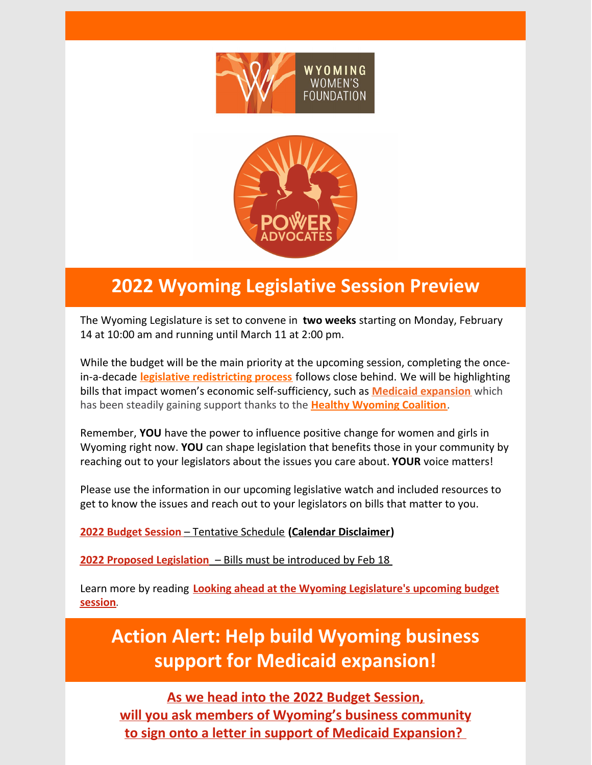



# **2022 Wyoming Legislative Session Preview**

The Wyoming Legislature is set to convene in **two weeks** starting on Monday, February 14 at 10:00 am and running until March 11 at 2:00 pm.

While the budget will be the main priority at the upcoming session, completing the oncein-a-decade **legislative [redistricting](https://wyoleg.gov/Redistricting/Redistricting2020/RedistrictingMemorandum.pdf) process** follows close behind. We will be highlighting bills that impact women's economic self-sufficiency, such as **Medicaid [expansion](https://wyoleg.gov/Legislation/2022/HB0020)** which has been steadily gaining support thanks to the **Healthy [Wyoming](http://healthywyoming.org/) Coalition**.

Remember, **YOU** have the power to influence positive change for women and girls in Wyoming right now. **YOU** can shape legislation that benefits those in your community by reaching out to your legislators about the issues you care about. **YOUR** voice matters!

Please use the information in our upcoming legislative watch and included resources to get to know the issues and reach out to your legislators on bills that matter to you.

**2022 Budget [Session](https://content.govdelivery.com/attachments/WYLSO/2022/01/28/file_attachments/2061542/2022 Special Events Calendar.pdf)** – [Tentative](https://wyoleg.gov/2022/Schedule.pdf) Schedule **(Calendar [Disclaimer](https://content.govdelivery.com/attachments/WYLSO/2022/01/28/file_attachments/2061541/2022 Special Events Calendar Cover.pdf))**

**2022 Proposed [Legislation](https://wyoleg.gov/Legislation/2022)** – Bills must be introduced by Feb 18

Learn more by reading **Looking ahead at the Wyoming [Legislature's](https://trib.com/news/state-and-regional/looking-ahead-at-the-wyoming-legislatures-upcoming-budget-session/article_47fe7ef4-8c38-59e7-9960-9dff0c523f08.html) upcoming budget session**.

**Action Alert: Help build Wyoming business support for Medicaid expansion!**

**As we head into the 2022 Budget [Session,](https://healthywyoming.org/business/) will you ask members of Wyoming's business [community](https://healthywyoming.org/business/) to sign onto a letter in support of Medicaid [Expansion?](https://healthywyoming.org/business/)**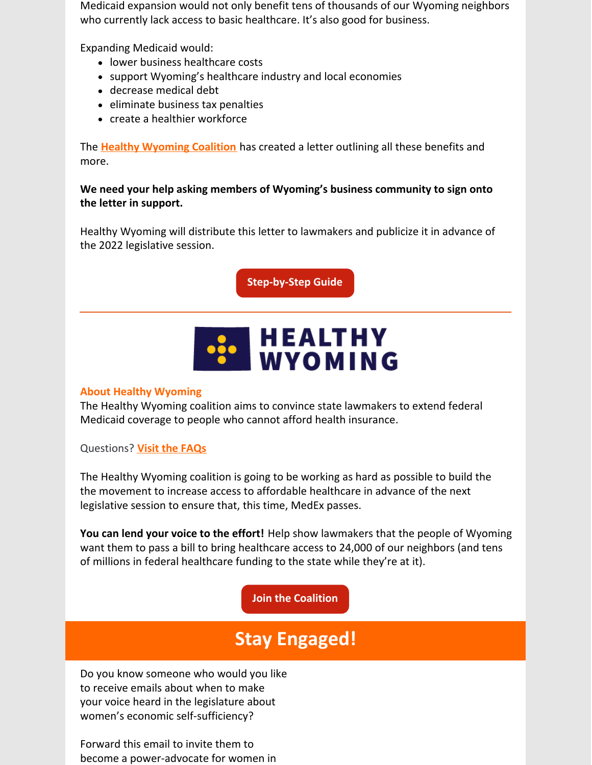Medicaid expansion would not only benefit tens of thousands of our Wyoming neighbors who currently lack access to basic healthcare. It's also good for business.

Expanding Medicaid would:

- lower business healthcare costs
- support Wyoming's healthcare industry and local economies
- decrease medical debt
- eliminate business tax penalties
- create a healthier workforce

The **Healthy [Wyoming](http://healthywyoming.org) Coalition** has created a letter outlining all these benefits and more.

# **We need your help asking members of Wyoming's business community to sign onto the letter in support.**

Healthy Wyoming will distribute this letter to lawmakers and publicize it in advance of the 2022 legislative session.

**[Step-by-Step](https://healthywyoming.org/business/) Guide**

# **BOOK HEALTHY**<br>WYOMING

# **About Healthy Wyoming**

The Healthy Wyoming coalition aims to convince state lawmakers to extend federal Medicaid coverage to people who cannot afford health insurance.

Questions? **Visit the [FAQs](https://healthywyoming.org/faq/)**

The Healthy Wyoming coalition is going to be working as hard as possible to build the the movement to increase access to affordable healthcare in advance of the next legislative session to ensure that, this time, MedEx passes.

**You can lend your voice to the effort!** Help show lawmakers that the people of Wyoming want them to pass a bill to bring healthcare access to 24,000 of our neighbors (and tens of millions in federal healthcare funding to the state while they're at it).

# **Join the [Coalition](https://healthywyoming.org/join/)**

# **Stay Engaged!**

Do you know someone who would you like to receive emails about when to make your voice heard in the legislature about women's economic self-sufficiency?

Forward this email to invite them to become a power-advocate for women in